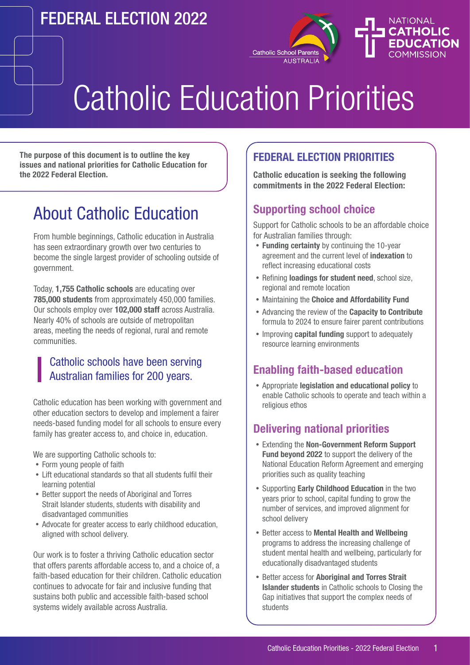## FEDERAL ELECTION 2022



# Catholic Education Priorities

**The purpose of this document is to outline the key issues and national priorities for Catholic Education for the 2022 Federal Election.**

### About Catholic Education

From humble beginnings, Catholic education in Australia has seen extraordinary growth over two centuries to become the single largest provider of schooling outside of government.

Today, **1,755 Catholic schools** are educating over **785,000 students** from approximately 450,000 families. Our schools employ over **102,000 staff** across Australia. Nearly 40% of schools are outside of metropolitan areas, meeting the needs of regional, rural and remote communities.

#### Catholic schools have been serving Australian families for 200 years.

Catholic education has been working with government and other education sectors to develop and implement a fairer needs-based funding model for all schools to ensure every family has greater access to, and choice in, education.

We are supporting Catholic schools to:

- Form young people of faith
- Lift educational standards so that all students fulfil their learning potential
- Better support the needs of Aboriginal and Torres Strait Islander students, students with disability and disadvantaged communities
- Advocate for greater access to early childhood education, aligned with school delivery.

Our work is to foster a thriving Catholic education sector that offers parents affordable access to, and a choice of, a faith-based education for their children. Catholic education continues to advocate for fair and inclusive funding that sustains both public and accessible faith-based school systems widely available across Australia.

#### **FEDERAL ELECTION PRIORITIES**

**Catholic education is seeking the following commitments in the 2022 Federal Election:**

#### **Supporting school choice**

Support for Catholic schools to be an affordable choice for Australian families through:

- **Funding certainty** by continuing the 10-year agreement and the current level of **indexation** to reflect increasing educational costs
- Refining **loadings for student need**, school size, regional and remote location
- Maintaining the **Choice and Affordability Fund**
- Advancing the review of the **Capacity to Contribute**  formula to 2024 to ensure fairer parent contributions
- Improving **capital funding** support to adequately resource learning environments

#### **Enabling faith-based education**

 Appropriate **legislation and educational policy** to enable Catholic schools to operate and teach within a religious ethos

#### **Delivering national priorities**

- Extending the **Non-Government Reform Support Fund beyond 2022** to support the delivery of the National Education Reform Agreement and emerging priorities such as quality teaching
- Supporting **Early Childhood Education** in the two years prior to school, capital funding to grow the number of services, and improved alignment for school delivery
- Better access to **Mental Health and Wellbeing**  programs to address the increasing challenge of student mental health and wellbeing, particularly for educationally disadvantaged students
- Better access for **Aboriginal and Torres Strait Islander students** in Catholic schools to Closing the Gap initiatives that support the complex needs of students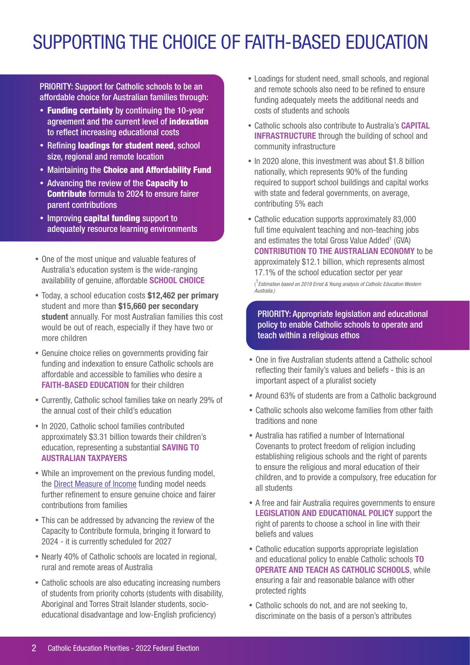# SUPPORTING THE CHOICE OF FAITH-BASED EDUCATION

PRIORITY: Support for Catholic schools to be an affordable choice for Australian families through:

- Funding certainty by continuing the 10-year agreement and the current level of indexation to reflect increasing educational costs
- Refining loadings for student need, school size, regional and remote location
- Maintaining the Choice and Affordability Fund
- Advancing the review of the **Capacity to** Contribute formula to 2024 to ensure fairer parent contributions
- Improving capital funding support to adequately resource learning environments
- One of the most unique and valuable features of Australia's education system is the wide-ranging availability of genuine, affordable **SCHOOL CHOICE**
- Today, a school education costs **\$12,462 per primary** student and more than **\$15,660 per secondary student** annually. For most Australian families this cost would be out of reach, especially if they have two or more children
- Genuine choice relies on governments providing fair funding and indexation to ensure Catholic schools are affordable and accessible to families who desire a **FAITH-BASED EDUCATION** for their children
- Currently, Catholic school families take on nearly 29% of the annual cost of their child's education
- In 2020, Catholic school families contributed approximately \$3.31 billion towards their children's education, representing a substantial **SAVING TO AUSTRALIAN TAXPAYERS**
- While an improvement on the previous funding model, the [Direct Measure of Income](https://www.ncec.catholic.edu.au/schools/school-funding) funding model needs further refinement to ensure genuine choice and fairer contributions from families
- This can be addressed by advancing the review of the Capacity to Contribute formula, bringing it forward to 2024 - it is currently scheduled for 2027
- Nearly 40% of Catholic schools are located in regional, rural and remote areas of Australia
- Catholic schools are also educating increasing numbers of students from priority cohorts (students with disability, Aboriginal and Torres Strait Islander students, socioeducational disadvantage and low-English proficiency)
- Loadings for student need, small schools, and regional and remote schools also need to be refined to ensure funding adequately meets the additional needs and costs of students and schools
- Catholic schools also contribute to Australia's **CAPITAL INFRASTRUCTURE** through the building of school and community infrastructure
- In 2020 alone, this investment was about \$1.8 billion nationally, which represents 90% of the funding required to support school buildings and capital works with state and federal governments, on average, contributing 5% each
- Catholic education supports approximately 83,000 full time equivalent teaching and non-teaching jobs and estimates the total Gross Value Added<sup>1</sup> (GVA) **CONTRIBUTION TO THE AUSTRALIAN ECONOMY** to be approximately \$12.1 billion, which represents almost 17.1% of the school education sector per year ( 1 *Estimation based on 2019 Ernst & Young analysis of Catholic Education Western Australia.)*

PRIORITY: Appropriate legislation and educational policy to enable Catholic schools to operate and teach within a religious ethos

- One in five Australian students attend a Catholic school reflecting their family's values and beliefs - this is an important aspect of a pluralist society
- Around 63% of students are from a Catholic background
- Catholic schools also welcome families from other faith traditions and none
- Australia has ratified a number of International Covenants to protect freedom of religion including establishing religious schools and the right of parents to ensure the religious and moral education of their children, and to provide a compulsory, free education for all students
- A free and fair Australia requires governments to ensure **LEGISLATION AND EDUCATIONAL POLICY** support the right of parents to choose a school in line with their beliefs and values
- Catholic education supports appropriate legislation and educational policy to enable Catholic schools **TO OPERATE AND TEACH AS CATHOLIC SCHOOLS**, while ensuring a fair and reasonable balance with other protected rights
- Catholic schools do not, and are not seeking to, discriminate on the basis of a person's attributes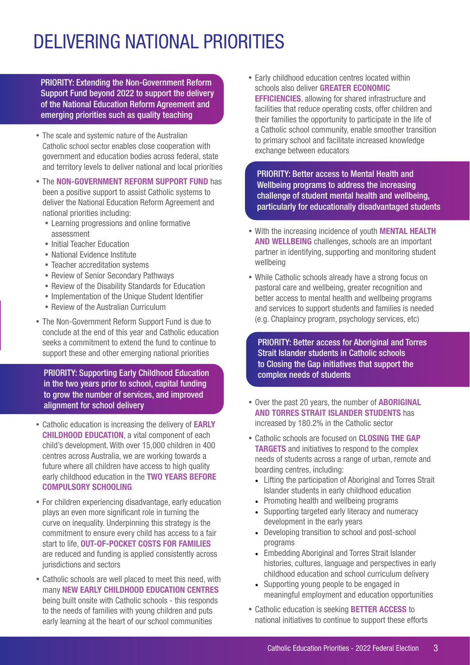# DELIVERING NATIONAL PRIORITIES

PRIORITY: Extending the Non-Government Reform Support Fund beyond 2022 to support the delivery of the National Education Reform Agreement and emerging priorities such as quality teaching

- The scale and systemic nature of the Australian Catholic school sector enables close cooperation with government and education bodies across federal, state and territory levels to deliver national and local priorities
- The **NON-GOVERNMENT REFORM SUPPORT FUND** has been a positive support to assist Catholic systems to deliver the National Education Reform Agreement and national priorities including:
	- Learning progressions and online formative assessment
	- Initial Teacher Education
	- National Evidence Institute
	- Teacher accreditation systems
	- Review of Senior Secondary Pathways
	- Review of the Disability Standards for Education
	- Implementation of the Unique Student Identifier
	- Review of the Australian Curriculum
- The Non-Government Reform Support Fund is due to conclude at the end of this year and Catholic education seeks a commitment to extend the fund to continue to support these and other emerging national priorities

PRIORITY: Supporting Early Childhood Education in the two years prior to school, capital funding to grow the number of services, and improved alignment for school delivery

- Catholic education is increasing the delivery of **EARLY CHILDHOOD EDUCATION**, a vital component of each child's development. With over 15,000 children in 400 centres across Australia, we are working towards a future where all children have access to high quality early childhood education in the **TWO YEARS BEFORE COMPULSORY SCHOOLING**
- For children experiencing disadvantage, early education plays an even more significant role in turning the curve on inequality. Underpinning this strategy is the commitment to ensure every child has access to a fair start to life, **OUT-OF-POCKET COSTS FOR FAMILIES** are reduced and funding is applied consistently across jurisdictions and sectors
- Catholic schools are well placed to meet this need, with many **NEW EARLY CHILDHOOD EDUCATION CENTRES** being built onsite with Catholic schools - this responds to the needs of families with young children and puts early learning at the heart of our school communities

 Early childhood education centres located within schools also deliver **GREATER ECONOMIC EFFICIENCIES**, allowing for shared infrastructure and facilities that reduce operating costs, offer children and their families the opportunity to participate in the life of a Catholic school community, enable smoother transition to primary school and facilitate increased knowledge exchange between educators

PRIORITY: Better access to Mental Health and Wellbeing programs to address the increasing challenge of student mental health and wellbeing, particularly for educationally disadvantaged students

- With the increasing incidence of youth **MENTAL HEALTH AND WELLBEING** challenges, schools are an important partner in identifying, supporting and monitoring student wellbeing
- While Catholic schools already have a strong focus on pastoral care and wellbeing, greater recognition and better access to mental health and wellbeing programs and services to support students and families is needed (e.g. Chaplaincy program, psychology services, etc)

PRIORITY: Better access for Aboriginal and Torres Strait Islander students in Catholic schools to Closing the Gap initiatives that support the complex needs of students

- Over the past 20 years, the number of **ABORIGINAL AND TORRES STRAIT ISLANDER STUDENTS** has increased by 180.2% in the Catholic sector
- Catholic schools are focused on **CLOSING THE GAP TARGETS** and initiatives to respond to the complex needs of students across a range of urban, remote and boarding centres, including:
	- Lifting the participation of Aboriginal and Torres Strait Islander students in early childhood education
	- Promoting health and wellbeing programs
	- Supporting targeted early literacy and numeracy development in the early years
	- Developing transition to school and post-school programs
	- Embedding Aboriginal and Torres Strait Islander histories, cultures, language and perspectives in early childhood education and school curriculum delivery
	- Supporting young people to be engaged in meaningful employment and education opportunities
- Catholic education is seeking **BETTER ACCESS** to national initiatives to continue to support these efforts